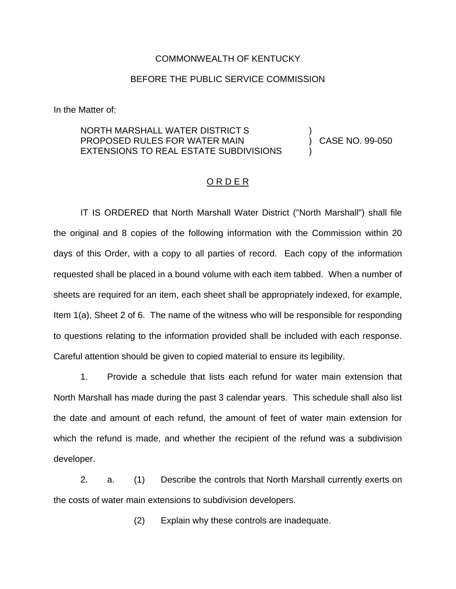## COMMONWEALTH OF KENTUCKY

## BEFORE THE PUBLIC SERVICE COMMISSION

In the Matter of:

## NORTH MARSHALL WATER DISTRICT S PROPOSED RULES FOR WATER MAIN EXTENSIONS TO REAL ESTATE SUBDIVISIONS ) ) CASE NO. 99-050 )

## O R D E R

IT IS ORDERED that North Marshall Water District ("North Marshall") shall file the original and 8 copies of the following information with the Commission within 20 days of this Order, with a copy to all parties of record. Each copy of the information requested shall be placed in a bound volume with each item tabbed. When a number of sheets are required for an item, each sheet shall be appropriately indexed, for example, Item 1(a), Sheet 2 of 6. The name of the witness who will be responsible for responding to questions relating to the information provided shall be included with each response. Careful attention should be given to copied material to ensure its legibility.

1. Provide a schedule that lists each refund for water main extension that North Marshall has made during the past 3 calendar years. This schedule shall also list the date and amount of each refund, the amount of feet of water main extension for which the refund is made, and whether the recipient of the refund was a subdivision developer.

2. a. (1) Describe the controls that North Marshall currently exerts on the costs of water main extensions to subdivision developers.

(2) Explain why these controls are inadequate.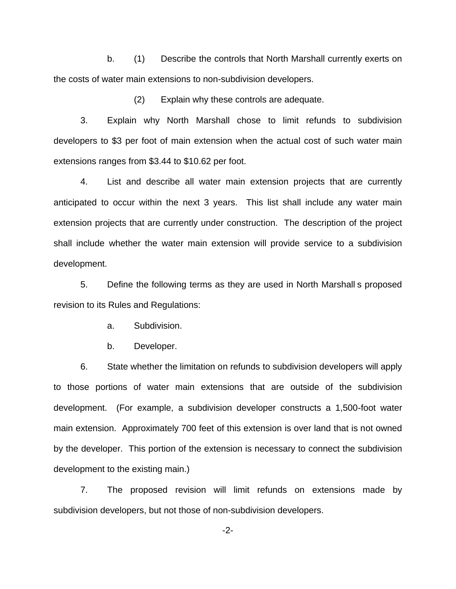b. (1) Describe the controls that North Marshall currently exerts on the costs of water main extensions to non-subdivision developers.

(2) Explain why these controls are adequate.

3. Explain why North Marshall chose to limit refunds to subdivision developers to \$3 per foot of main extension when the actual cost of such water main extensions ranges from \$3.44 to \$10.62 per foot.

4. List and describe all water main extension projects that are currently anticipated to occur within the next 3 years. This list shall include any water main extension projects that are currently under construction. The description of the project shall include whether the water main extension will provide service to a subdivision development.

5. Define the following terms as they are used in North Marshall s proposed revision to its Rules and Regulations:

a. Subdivision.

b. Developer.

6. State whether the limitation on refunds to subdivision developers will apply to those portions of water main extensions that are outside of the subdivision development. (For example, a subdivision developer constructs a 1,500-foot water main extension. Approximately 700 feet of this extension is over land that is not owned by the developer. This portion of the extension is necessary to connect the subdivision development to the existing main.)

7. The proposed revision will limit refunds on extensions made by subdivision developers, but not those of non-subdivision developers.

-2-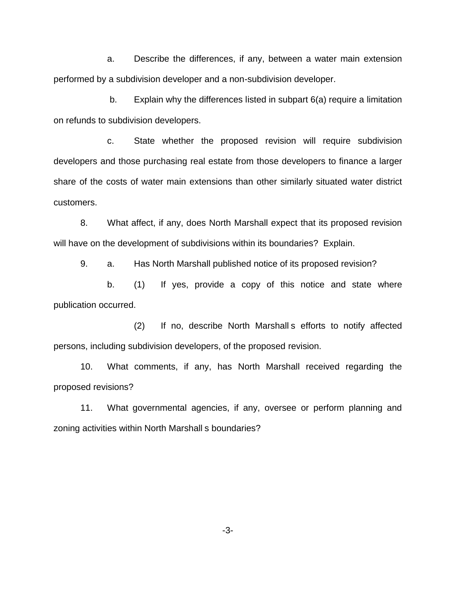a. Describe the differences, if any, between a water main extension performed by a subdivision developer and a non-subdivision developer.

b. Explain why the differences listed in subpart 6(a) require a limitation on refunds to subdivision developers.

c. State whether the proposed revision will require subdivision developers and those purchasing real estate from those developers to finance a larger share of the costs of water main extensions than other similarly situated water district customers.

8. What affect, if any, does North Marshall expect that its proposed revision will have on the development of subdivisions within its boundaries? Explain.

9. a. Has North Marshall published notice of its proposed revision?

b. (1) If yes, provide a copy of this notice and state where publication occurred.

(2) If no, describe North Marshall s efforts to notify affected persons, including subdivision developers, of the proposed revision.

10. What comments, if any, has North Marshall received regarding the proposed revisions?

11. What governmental agencies, if any, oversee or perform planning and zoning activities within North Marshall s boundaries?

-3-